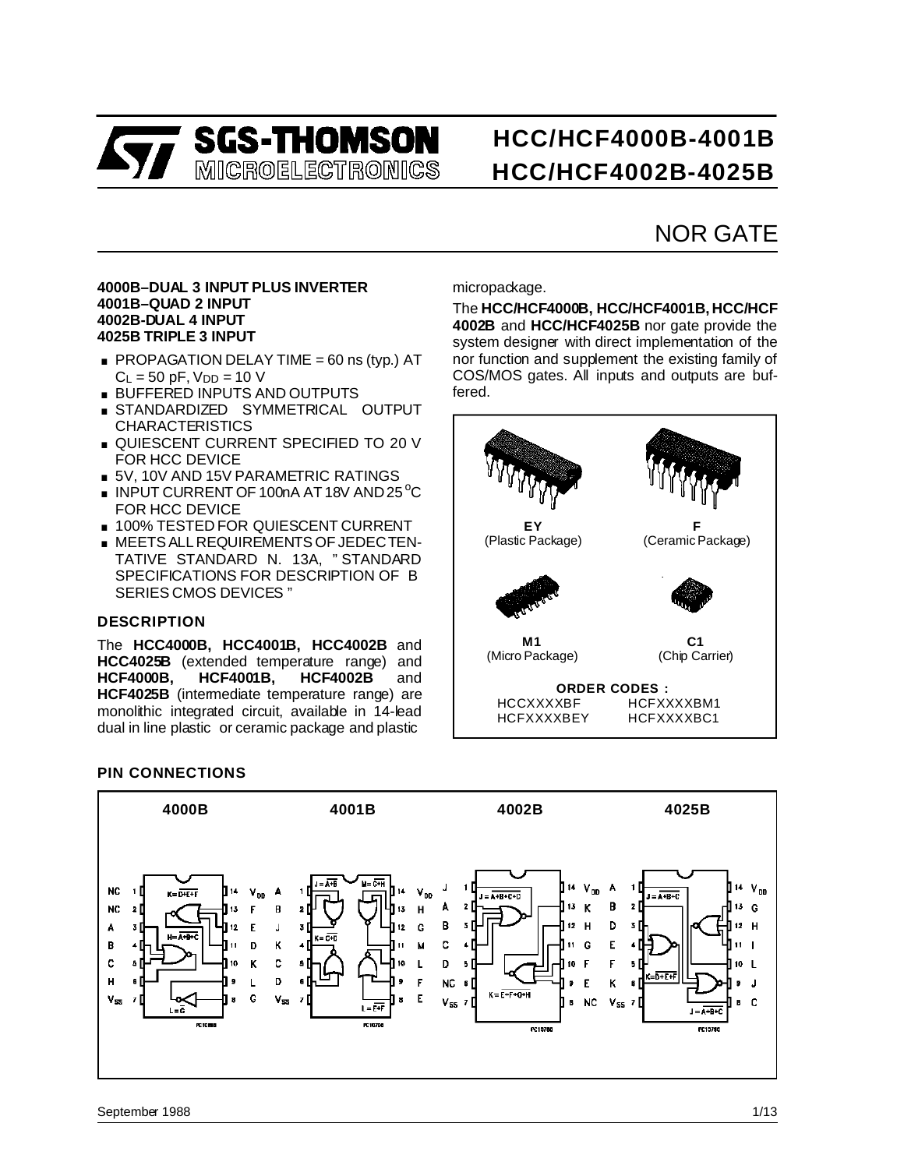

# **HCC/HCF4000B-4001B HCC/HCF4002B-4025B**

## NOR GATE

#### **4000B–DUAL 3 INPUT PLUS INVERTER 4001B–QUAD 2 INPUT 4002B-DUAL 4 INPUT 4025B TRIPLE 3 INPUT**

- 40025-DOAL 4 INPUT<br>4025B TRIPLE 3 INPUT<br>■ PROPAGATION DELAY TIME = 60 ns (typ.) AT  $C_L = 50$  pF,  $V_{DD} = 10$  V **PROPAGATION DELAY TIME = 60 ns**<br>C<sub>L</sub> = 50 pF, V<sub>DD</sub> = 10 V<br>**BUFFERED INPUTS AND OUTPUTS**<br>STANDARDIZED SYMMETPICAL
- BUFFERED INPUTS AND OUTPUTS<br>■ STANDARDIZED SYMMETRICAL OUTPUT
- **CHARACTERISTICS**
- **QUIESCENT CURRENT SPECIFIED TO 20 V** FOR HCC DEVICE
- 5V, 10V AND 15V PARAMETRIC RATINGS
- FOR HCC DEVICE<br>■ 5V, 10V AND 15V PARAMETRIC RATINGS<br>■ INPUT CURRENT OF 100nA AT 18V AND 25 ℃<br>FOR UCC REVICE FOR HCC DEVICE
- **100% TESTED FOR QUIESCENT CURRENT**
- . MEETS ALL REQUIREMENTS OF JEDECTEN-TATIVE STANDARD N. 13A, " STANDARD SPECIFICATIONS FOR DESCRIPTION OF B SERIES CMOS DEVICES "

#### **DESCRIPTION**

The **HCC4000B, HCC4001B, HCC4002B** and **HCC4025B** (extended temperature range) and **HCF4000B, HCF4001B, HCF4002B** and **HCF4025B** (intermediate temperature range) are monolithic integrated circuit, available in 14-lead dual in line plastic or ceramic package and plastic

micropackage.

The **HCC/HCF4000B, HCC/HCF4001B, HCC/HCF 4002B** and **HCC/HCF4025B** nor gate provide the system designer with direct implementation of the nor function and supplement the existing family of COS/MOS gates. All inputs and outputs are buffered.



#### **PIN CONNECTIONS**

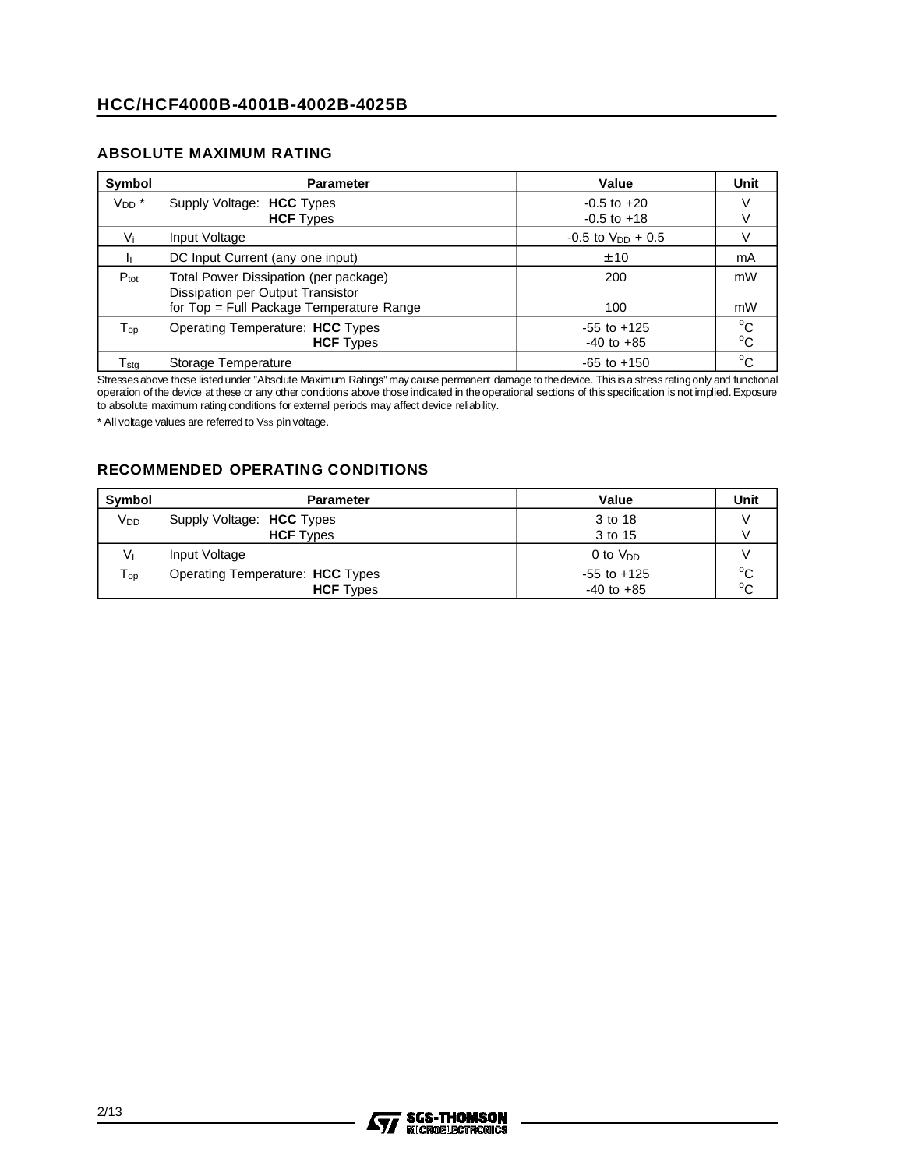#### **ABSOLUTE MAXIMUM RATING**

| Symbol                      | <b>Parameter</b>                                                                                                       | Value                              | Unit                         |
|-----------------------------|------------------------------------------------------------------------------------------------------------------------|------------------------------------|------------------------------|
| $V_{DD}$ *                  | Supply Voltage: HCC Types<br><b>HCF</b> Types                                                                          | $-0.5$ to $+20$<br>$-0.5$ to $+18$ |                              |
| Vi                          | Input Voltage                                                                                                          | $-0.5$ to $V_{DD} + 0.5$           |                              |
|                             | DC Input Current (any one input)                                                                                       | ± 10                               | mA                           |
| $P_{\text{tot}}$            | Total Power Dissipation (per package)<br>Dissipation per Output Transistor<br>for Top = Full Package Temperature Range | 200<br>100                         | mW<br>mW                     |
| $\mathsf{T}_{\mathsf{op}}$  | Operating Temperature: HCC Types<br><b>HCF</b> Types                                                                   | $-55$ to $+125$<br>$-40$ to $+85$  | $^{\circ}$ C<br>$^{\circ}$ C |
| $\mathsf{T}_{\mathsf{stq}}$ | Storage Temperature                                                                                                    | $-65$ to $+150$                    | $^{\circ}$ C                 |

Stresses above those listed under "Absolute Maximum Ratings" may cause permanent damage to the device. This is a stress rating only and functional operation of the device at these or any other conditions above those indicated in theoperational sections of this specification is not implied. Exposure to absolute maximum rating conditions for external periods may affect device reliability.

\* All voltage values are referred to Vss pin voltage.

#### **RECOMMENDED OPERATING CONDITIONS**

| <b>Symbol</b>              | Parameter                        | Value           | Unit         |
|----------------------------|----------------------------------|-----------------|--------------|
| V <sub>DD</sub>            | Supply Voltage: HCC Types        | 3 to 18         |              |
|                            | <b>HCF</b> Types                 | 3 to 15         |              |
| Vı                         | Input Voltage                    | 0 to $V_{DD}$   |              |
| $\mathsf{T}_{\mathsf{op}}$ | Operating Temperature: HCC Types | $-55$ to $+125$ | $^{\circ}$ C |
|                            | <b>HCF</b> Types                 | $-40$ to $+85$  | $^{\circ}$ C |

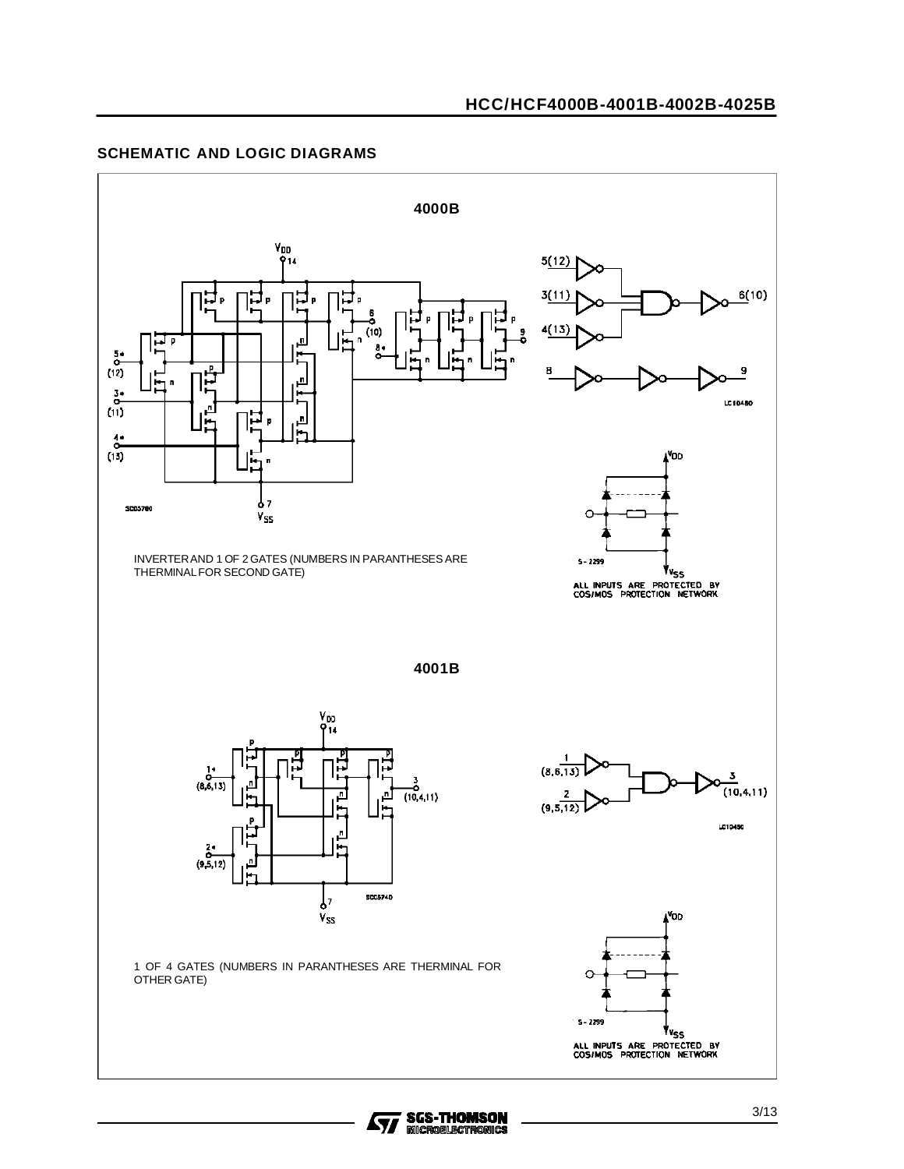#### **SCHEMATIC AND LOGIC DIAGRAMS**



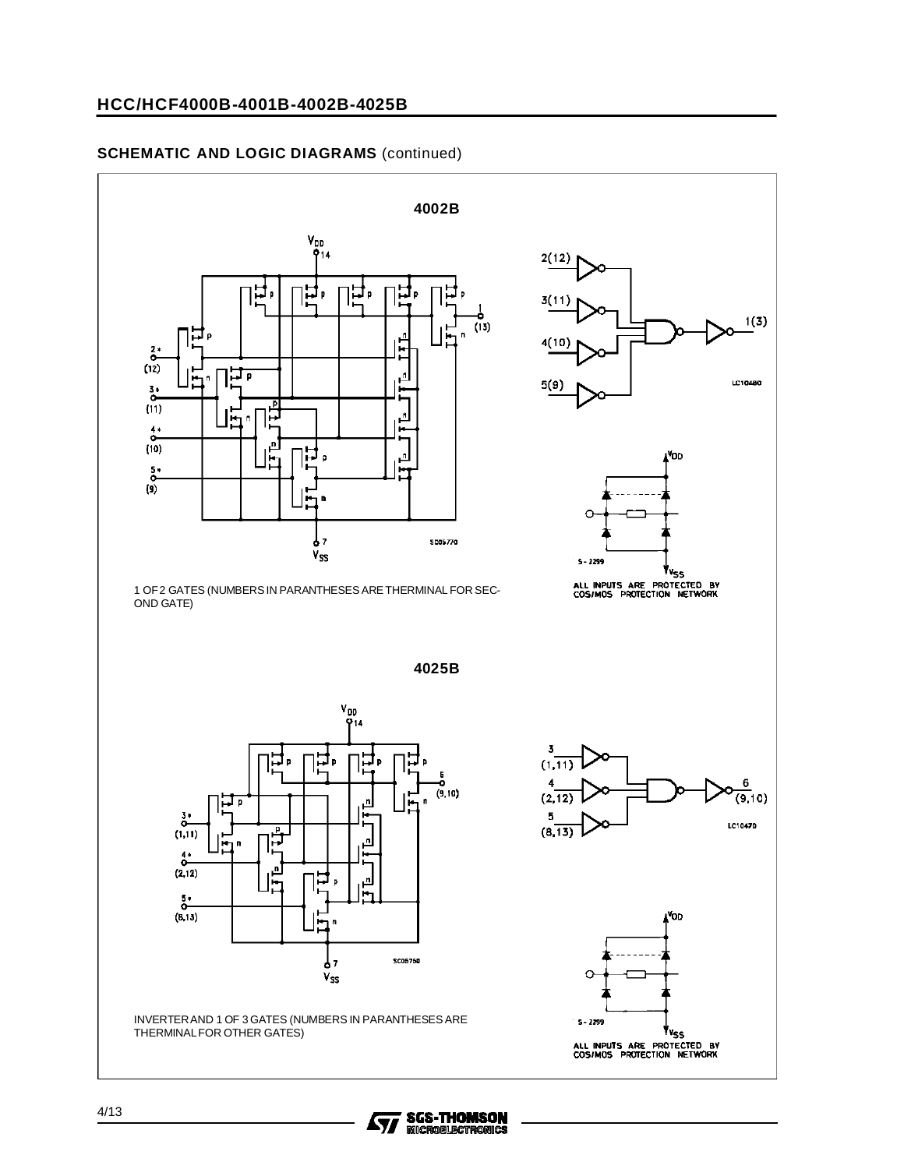#### **HCC/HCF4000B-4001B-4002B-4025B**

#### **SCHEMATIC AND LOGIC DIAGRAMS** (continued)



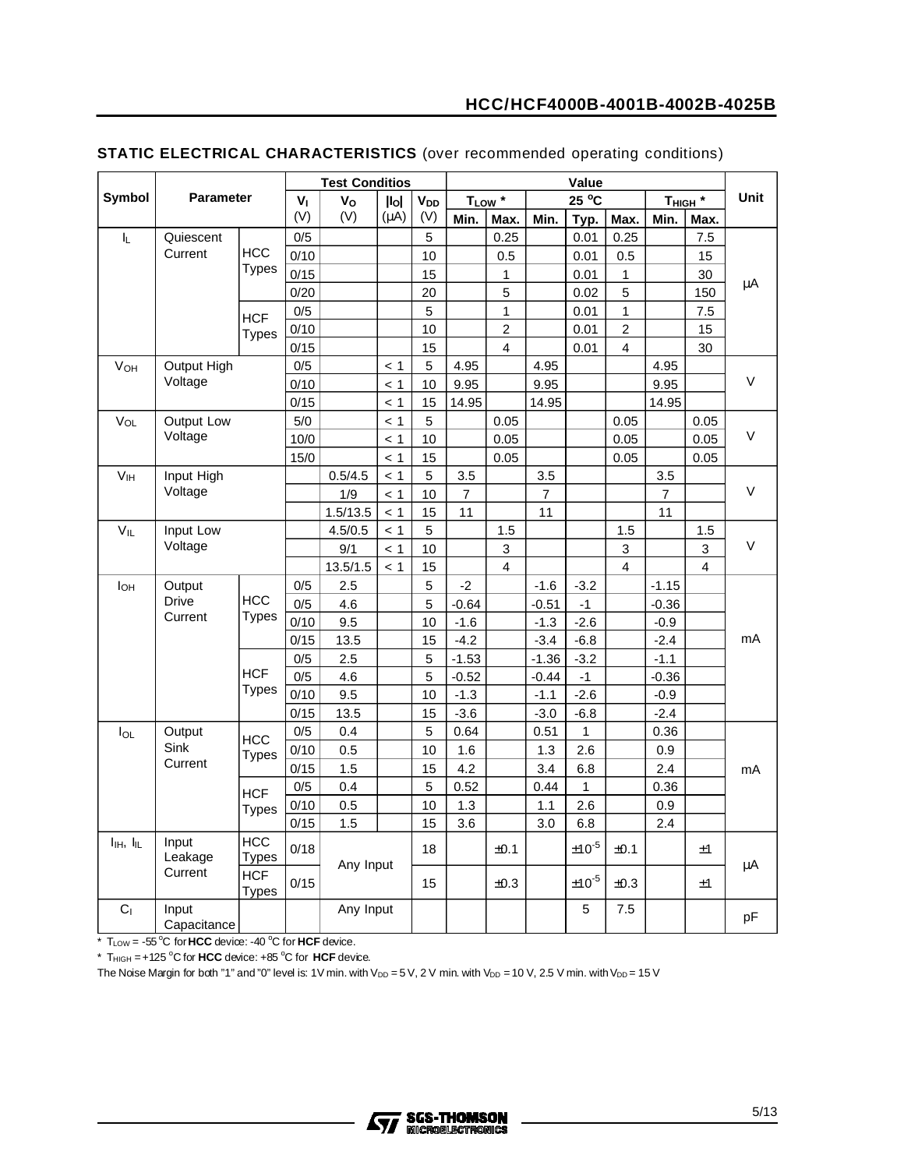|                                   |                      |                            |                | <b>Test Conditios</b> |           |                        |                |                   |                | Value          |                |                     |      |        |
|-----------------------------------|----------------------|----------------------------|----------------|-----------------------|-----------|------------------------|----------------|-------------------|----------------|----------------|----------------|---------------------|------|--------|
| Symbol                            | <b>Parameter</b>     |                            | V <sub>1</sub> | Vo                    | $I$ lol   | <b>V</b> <sub>DD</sub> |                | TLow <sup>*</sup> |                | $25^{\circ}$ C |                | T <sub>HIGH</sub> * |      | Unit   |
|                                   |                      |                            | (V)            | (V)                   | $(\mu A)$ | (V)                    | Min.           | Max.              | Min.           | Typ.           | Max.           | Min.                | Max. |        |
| $\mathsf{I}_{\mathsf{L}}$         | Quiescent            |                            | 0/5            |                       |           | 5                      |                | 0.25              |                | 0.01           | 0.25           |                     | 7.5  |        |
|                                   | Current              | <b>HCC</b>                 | 0/10           |                       |           | 10                     |                | 0.5               |                | 0.01           | 0.5            |                     | 15   |        |
|                                   |                      | Types                      | 0/15           |                       |           | 15                     |                | 1                 |                | 0.01           | 1              |                     | 30   | μA     |
|                                   |                      |                            | 0/20           |                       |           | 20                     |                | 5                 |                | 0.02           | 5              |                     | 150  |        |
|                                   |                      | <b>HCF</b>                 | 0/5            |                       |           | 5                      |                | $\mathbf{1}$      |                | 0.01           | 1              |                     | 7.5  |        |
|                                   |                      | <b>Types</b>               | 0/10           |                       |           | 10                     |                | $\overline{2}$    |                | 0.01           | $\overline{c}$ |                     | 15   |        |
|                                   |                      |                            | 0/15           |                       |           | 15                     |                | 4                 |                | 0.01           | 4              |                     | 30   |        |
| V <sub>OH</sub>                   | Output High          |                            | 0/5            |                       | < 1       | 5                      | 4.95           |                   | 4.95           |                |                | 4.95                |      |        |
|                                   | Voltage              |                            | 0/10           |                       | < 1       | 10                     | 9.95           |                   | 9.95           |                |                | 9.95                |      | $\vee$ |
|                                   |                      |                            | 0/15           |                       | < 1       | 15                     | 14.95          |                   | 14.95          |                |                | 14.95               |      |        |
| VOL                               | Output Low           |                            | 5/0            |                       | < 1       | 5                      |                | 0.05              |                |                | 0.05           |                     | 0.05 |        |
|                                   | Voltage              |                            | 10/0           |                       | < 1       | 10                     |                | 0.05              |                |                | 0.05           |                     | 0.05 | V      |
|                                   |                      |                            | 15/0           |                       | < 1       | 15                     |                | 0.05              |                |                | 0.05           |                     | 0.05 |        |
| V <sub>IH</sub>                   | Input High           |                            |                | 0.5/4.5               | < 1       | 5                      | 3.5            |                   | 3.5            |                |                | 3.5                 |      |        |
|                                   | Voltage              |                            |                | 1/9                   | < 1       | 10                     | $\overline{7}$ |                   | $\overline{7}$ |                |                | $\overline{7}$      |      | V      |
|                                   |                      |                            |                | 1.5/13.5              | < 1       | 15                     | 11             |                   | 11             |                |                | 11                  |      |        |
| $V_{IL}$                          | Input Low            |                            |                | 4.5/0.5               | < 1       | 5                      |                | 1.5               |                |                | 1.5            |                     | 1.5  |        |
|                                   | Voltage              |                            |                | 9/1                   | < 1       | 10                     |                | 3                 |                |                | 3              |                     | 3    | V      |
|                                   |                      |                            |                | 13.5/1.5              | < 1       | 15                     |                | $\overline{4}$    |                |                | 4              |                     | 4    |        |
| <b>I</b> OH                       | Output               |                            | 0/5            | 2.5                   |           | 5                      | $-2$           |                   | $-1.6$         | $-3.2$         |                | $-1.15$             |      |        |
|                                   | <b>Drive</b>         | <b>HCC</b>                 | 0/5            | 4.6                   |           | 5                      | $-0.64$        |                   | $-0.51$        | $-1$           |                | $-0.36$             |      |        |
|                                   | Current              | Types                      | 0/10           | 9.5                   |           | 10                     | $-1.6$         |                   | $-1.3$         | $-2.6$         |                | $-0.9$              |      |        |
|                                   |                      |                            | 0/15           | 13.5                  |           | 15                     | $-4.2$         |                   | $-3.4$         | $-6.8$         |                | $-2.4$              |      | mA     |
|                                   |                      |                            | 0/5            | 2.5                   |           | 5                      | $-1.53$        |                   | $-1.36$        | $-3.2$         |                | $-1.1$              |      |        |
|                                   |                      | <b>HCF</b>                 | 0/5            | 4.6                   |           | 5                      | $-0.52$        |                   | $-0.44$        | $-1$           |                | $-0.36$             |      |        |
|                                   |                      | <b>Types</b>               | 0/10           | 9.5                   |           | 10                     | $-1.3$         |                   | $-1.1$         | $-2.6$         |                | $-0.9$              |      |        |
|                                   |                      |                            | 0/15           | 13.5                  |           | 15                     | $-3.6$         |                   | $-3.0$         | $-6.8$         |                | $-2.4$              |      |        |
| $I_{OL}$                          | Output               | <b>HCC</b>                 | 0/5            | 0.4                   |           | 5                      | 0.64           |                   | 0.51           | $\mathbf{1}$   |                | 0.36                |      |        |
|                                   | Sink                 | <b>Types</b>               | 0/10           | 0.5                   |           | 10                     | 1.6            |                   | 1.3            | 2.6            |                | 0.9                 |      |        |
|                                   | Current              |                            | 0/15           | 1.5                   |           | 15                     | 4.2            |                   | 3.4            | 6.8            |                | 2.4                 |      | mA     |
|                                   |                      | <b>HCF</b>                 | 0/5            | 0.4                   |           | 5                      | 0.52           |                   | 0.44           | $\mathbf{1}$   |                | 0.36                |      |        |
|                                   |                      | <b>Types</b>               | 0/10           | 0.5                   |           | 10                     | 1.3            |                   | 1.1            | 2.6            |                | 0.9                 |      |        |
|                                   |                      |                            | 0/15           | 1.5                   |           | 15                     | 3.6            |                   | 3.0            | 6.8            |                | 2.4                 |      |        |
| $I_{\text{IH}}$ , $I_{\text{IL}}$ | Input<br>Leakage     | <b>HCC</b><br><b>Types</b> | 0/18           | Any Input             |           | 18                     |                | ±0.1              |                | $\pm 10^{ -5}$ | ±0.1           |                     | ±1   | μA     |
|                                   | Current              | <b>HCF</b><br><b>Types</b> | 0/15           |                       |           | 15                     |                | ±0.3              |                | $\pm 10^{ -5}$ | ±0.3           |                     | ±1   |        |
| C <sub>1</sub>                    | Input<br>Capacitance |                            |                | Any Input             |           |                        |                |                   |                | 5              | 7.5            |                     |      | pF     |

#### **STATIC ELECTRICAL CHARACTERISTICS** (over recommended operating conditions)

\* T<sub>LOW</sub> = -55 °C for HCC device: -40 °C for HCF device.

 $*$  T<sub>HIGH</sub> =  $+125$  °C for HCC device:  $+85$  °C for HCF device.

The Noise Margin for both "1" and "0" level is: 1V min. with  $V_{DD} = 5 V$ , 2 V min. with  $V_{DD} = 10 V$ , 2.5 V min. with V<sub>DD</sub> = 15 V

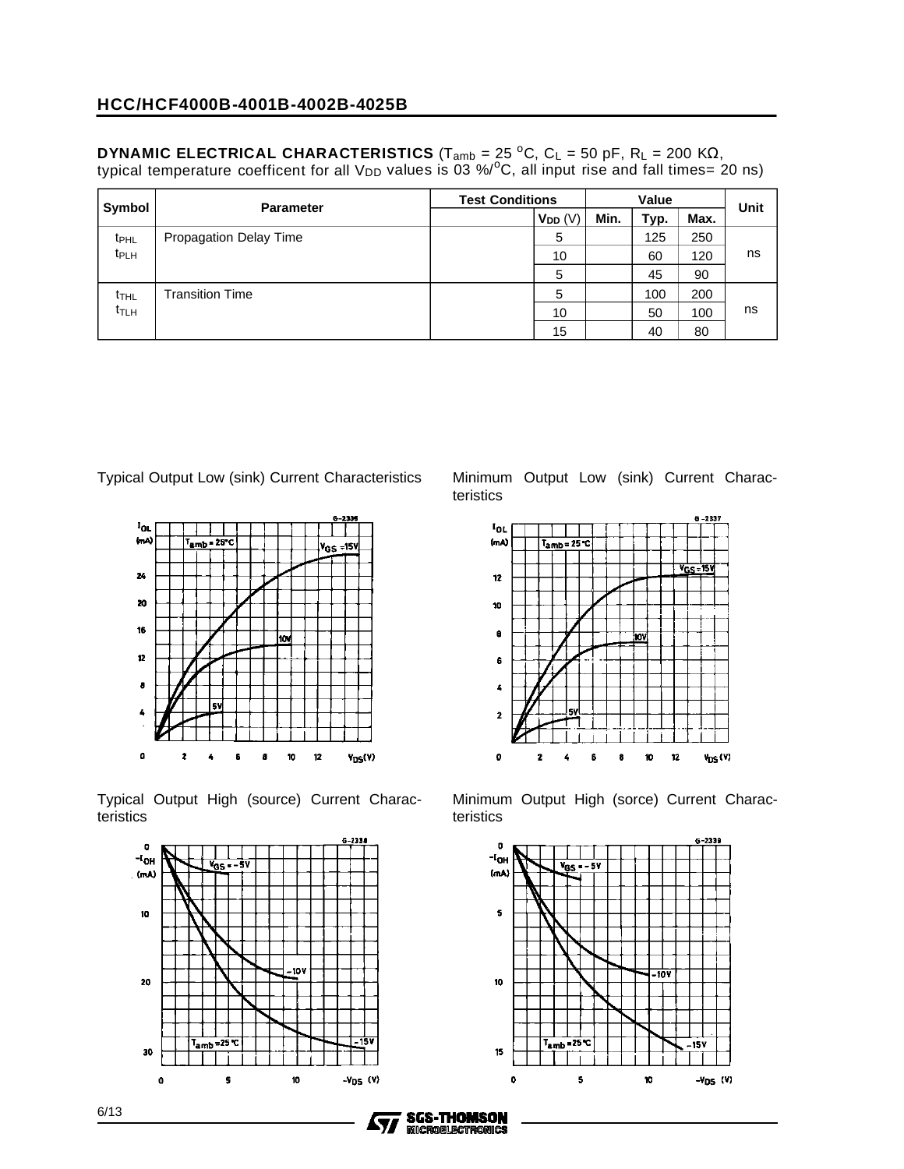**DYNAMIC ELECTRICAL CHARACTERISTICS** (T<sub>amb</sub> = 25 <sup>o</sup>C, C<sub>L</sub> = 50 pF, R<sub>L</sub> = 200 KΩ, typical temperature coefficent for all V<sub>DD</sub> values is 03 %/ $^{\circ}$ C, all input rise and fall times= 20 ns)

| Symbol                  | <b>Parameter</b>       | <b>Test Conditions</b> |              |      | Value |      | Unit |
|-------------------------|------------------------|------------------------|--------------|------|-------|------|------|
|                         |                        |                        | $V_{DD}$ (V) | Min. | Typ.  | Max. |      |
| t <sub>PHL</sub>        | Propagation Delay Time |                        | 5            |      | 125   | 250  |      |
| <b>t</b> <sub>PLH</sub> |                        |                        | 10           |      | 60    | 120  | ns   |
|                         |                        |                        | 5            |      | 45    | 90   |      |
| t <sub>THL</sub>        | <b>Transition Time</b> |                        | 5            |      | 100   | 200  |      |
| t <sub>TLH</sub>        |                        |                        | 10           |      | 50    | 100  | ns   |
|                         |                        |                        | 15           |      | 40    | 80   |      |



Typical Output High (source) Current Characteristics



Typical Output Low (sink) Current Characteristics Minimum Output Low (sink) Current Characteristics



Minimum Output High (sorce) Current Characteristics



**SGS-THOMSON** 

**MICROELECTRONICS** 

77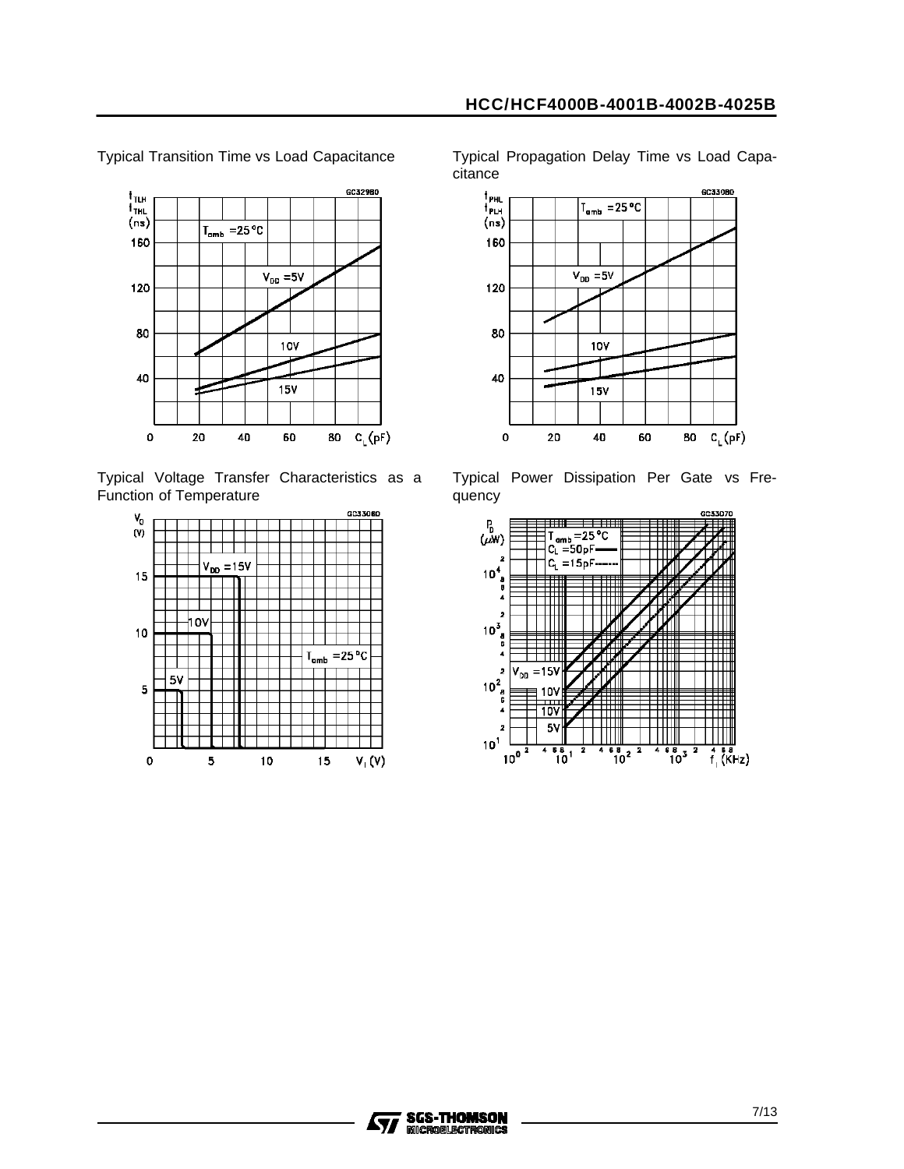

Typical Transition Time vs Load Capacitance

Typical Voltage Transfer Characteristics as a Function of Temperature



Typical Propagation Delay Time vs Load Capacitance



Typical Power Dissipation Per Gate vs Frequency



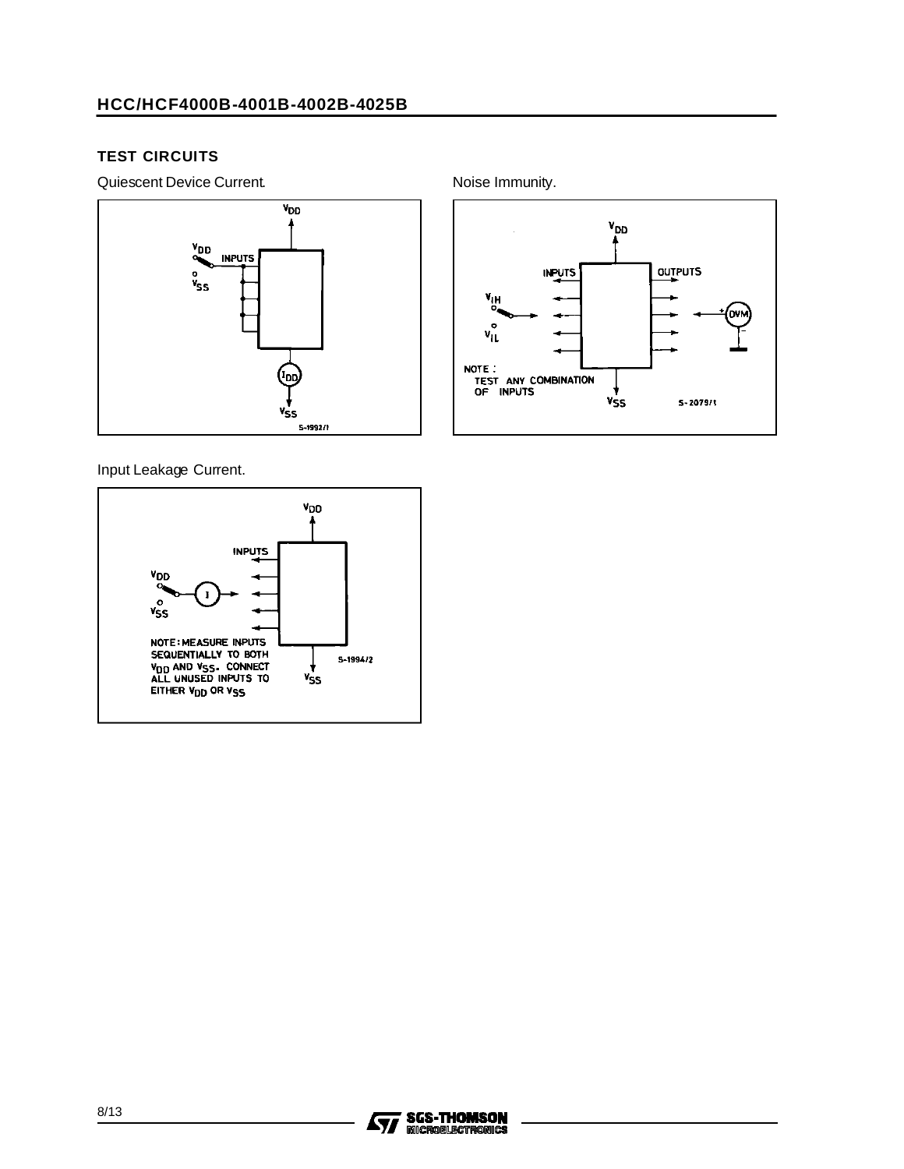#### **TEST CIRCUITS**

Quiescent Device Current. The Contract of the Noise Immunity.



Input Leakage Current.





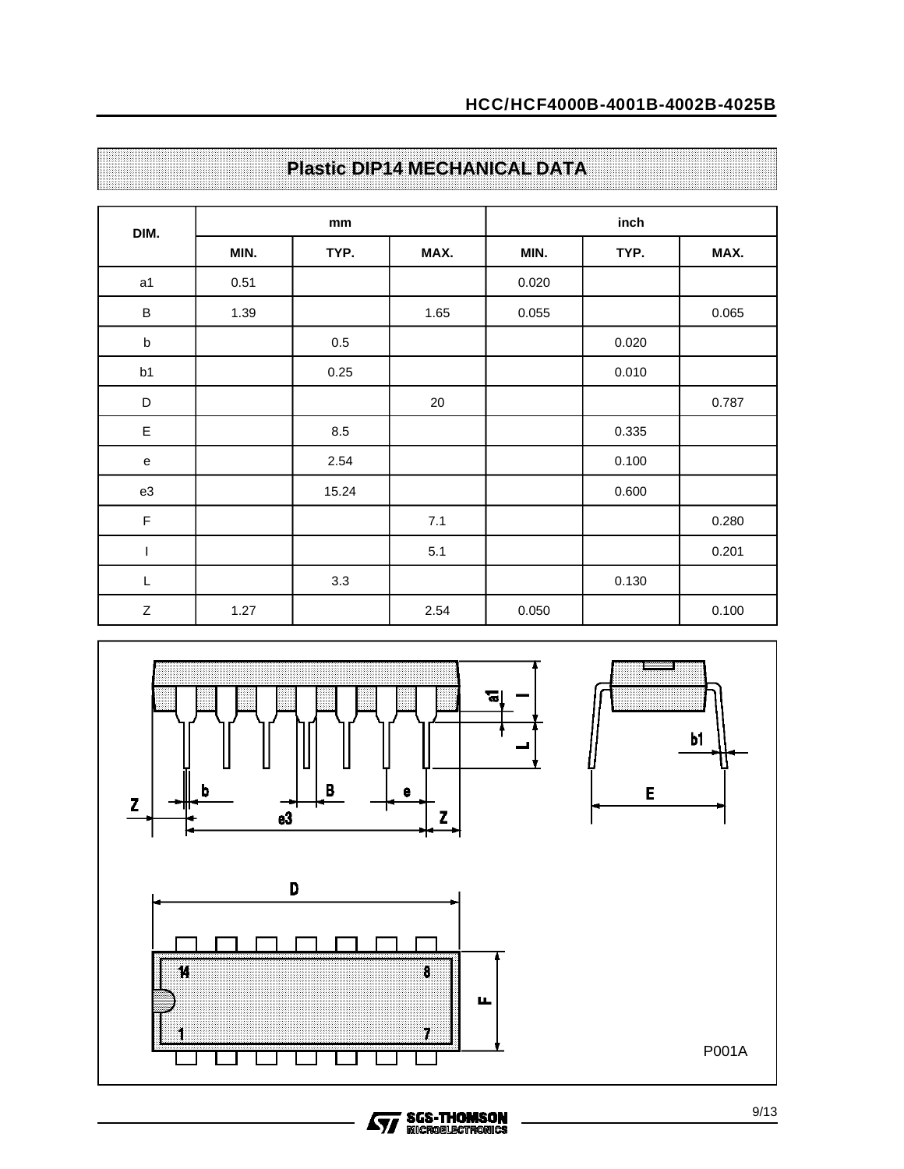| DIM.         |      | mm      |      |       | inch  |       |
|--------------|------|---------|------|-------|-------|-------|
|              | MIN. | TYP.    | MAX. | MIN.  | TYP.  | MAX.  |
| a1           | 0.51 |         |      | 0.020 |       |       |
| $\, {\sf B}$ | 1.39 |         | 1.65 | 0.055 |       | 0.065 |
| $\sf b$      |      | $0.5\,$ |      |       | 0.020 |       |
| b1           |      | 0.25    |      |       | 0.010 |       |
| $\mathsf D$  |      |         | 20   |       |       | 0.787 |
| $\mathsf E$  |      | 8.5     |      |       | 0.335 |       |
| ${\bf e}$    |      | 2.54    |      |       | 0.100 |       |
| e3           |      | 15.24   |      |       | 0.600 |       |
| $\mathsf F$  |      |         | 7.1  |       |       | 0.280 |
| I            |      |         | 5.1  |       |       | 0.201 |
| L            |      | 3.3     |      |       | 0.130 |       |
| $\mathsf Z$  | 1.27 |         | 2.54 | 0.050 |       | 0.100 |

## **Plastic DIP14 MECHANICAL DATA**

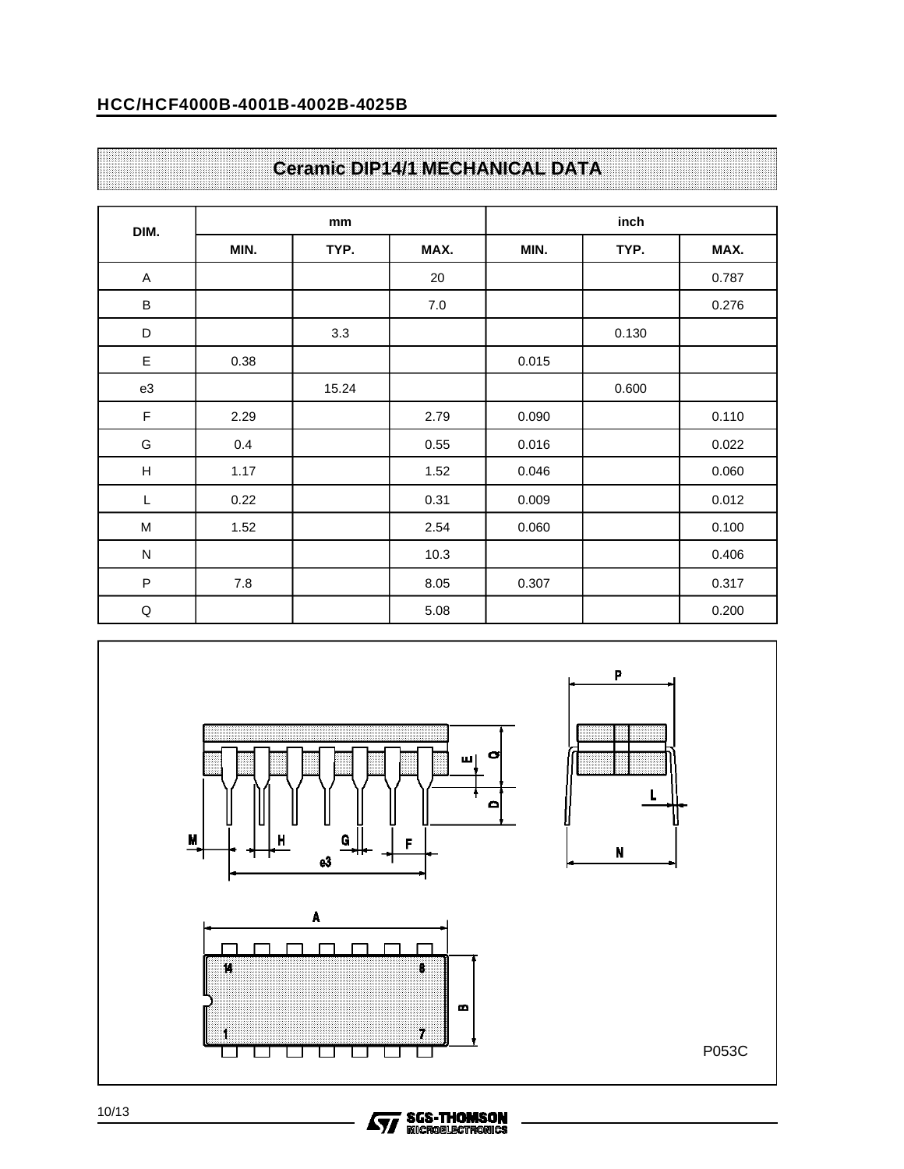#### **HCC/HCF4000B-4001B-4002B-4025B**

|  |  |  |  |  |  |  |  |  |  |  |  |  |  |  |  |  |  |  |  |  |  |  |  |  |  |  |  |  |  |  |  |  |  |  |  |  |  |  |  | <b>Ceramic DIP14/1 MECHANICAL DATA</b> |  |
|--|--|--|--|--|--|--|--|--|--|--|--|--|--|--|--|--|--|--|--|--|--|--|--|--|--|--|--|--|--|--|--|--|--|--|--|--|--|--|--|----------------------------------------|--|
|  |  |  |  |  |  |  |  |  |  |  |  |  |  |  |  |  |  |  |  |  |  |  |  |  |  |  |  |  |  |  |  |  |  |  |  |  |  |  |  |                                        |  |

| DIM.                      |      | mm    |      |       | inch  |       |
|---------------------------|------|-------|------|-------|-------|-------|
|                           | MIN. | TYP.  | MAX. | MIN.  | TYP.  | MAX.  |
| $\boldsymbol{\mathsf{A}}$ |      |       | 20   |       |       | 0.787 |
| $\sf B$                   |      |       | 7.0  |       |       | 0.276 |
| D                         |      | 3.3   |      |       | 0.130 |       |
| E                         | 0.38 |       |      | 0.015 |       |       |
| e3                        |      | 15.24 |      |       | 0.600 |       |
| F                         | 2.29 |       | 2.79 | 0.090 |       | 0.110 |
| G                         | 0.4  |       | 0.55 | 0.016 |       | 0.022 |
| $\boldsymbol{\mathsf{H}}$ | 1.17 |       | 1.52 | 0.046 |       | 0.060 |
| L                         | 0.22 |       | 0.31 | 0.009 |       | 0.012 |
| M                         | 1.52 |       | 2.54 | 0.060 |       | 0.100 |
| ${\sf N}$                 |      |       | 10.3 |       |       | 0.406 |
| $\sf P$                   | 7.8  |       | 8.05 | 0.307 |       | 0.317 |
| Q                         |      |       | 5.08 |       |       | 0.200 |



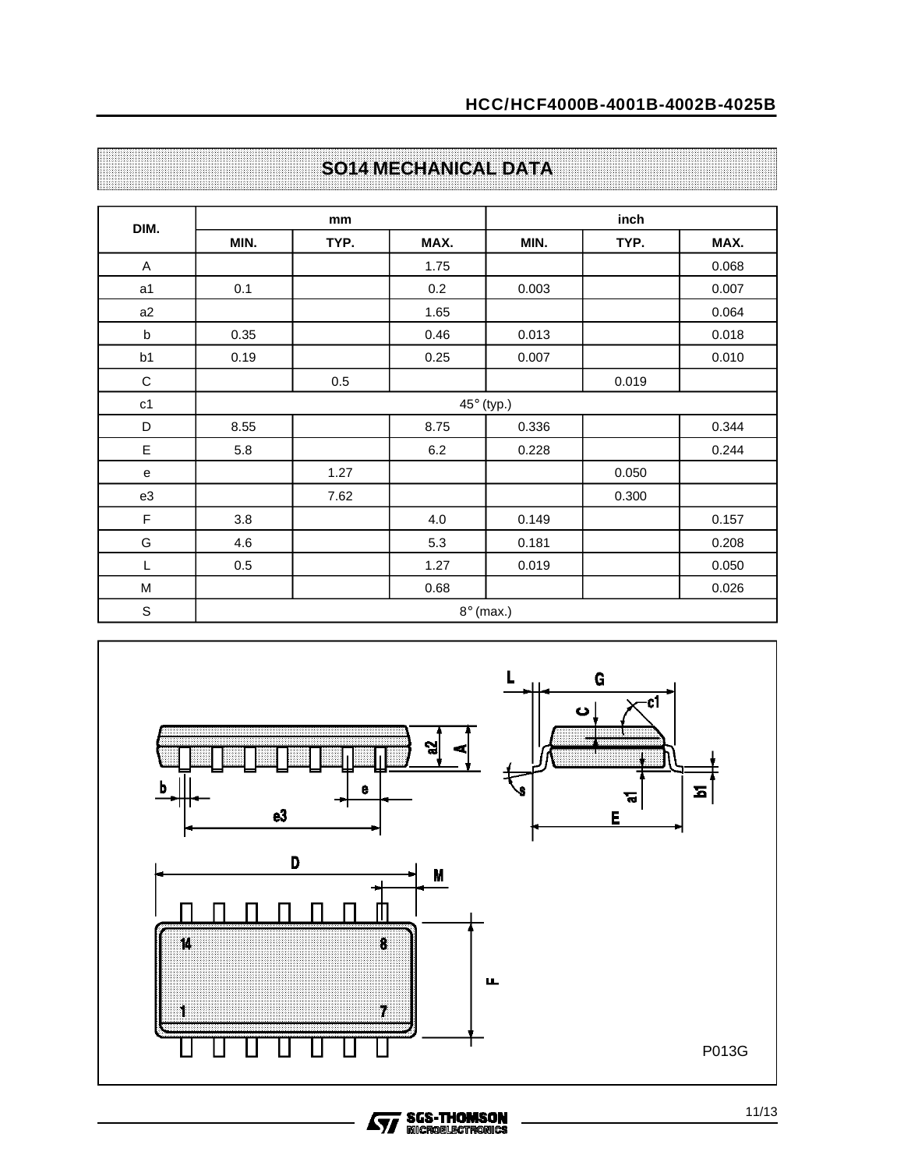| DIM.           |      | mm   |      |                  | inch  |       |  |  |  |  |  |
|----------------|------|------|------|------------------|-------|-------|--|--|--|--|--|
|                | MIN. | TYP. | MAX. | MIN.             | TYP.  | MAX.  |  |  |  |  |  |
| A              |      |      | 1.75 |                  |       | 0.068 |  |  |  |  |  |
| a <sub>1</sub> | 0.1  |      | 0.2  | 0.003            |       | 0.007 |  |  |  |  |  |
| a2             |      |      | 1.65 |                  |       | 0.064 |  |  |  |  |  |
| b              | 0.35 |      | 0.46 | 0.013            |       | 0.018 |  |  |  |  |  |
| b1             | 0.19 |      | 0.25 | 0.007            |       | 0.010 |  |  |  |  |  |
| $\mathsf C$    |      | 0.5  |      |                  | 0.019 |       |  |  |  |  |  |
| $\mathtt{c1}$  |      |      |      | 45° (typ.)       |       |       |  |  |  |  |  |
| D              | 8.55 |      | 8.75 | 0.336            |       | 0.344 |  |  |  |  |  |
| E              | 5.8  |      | 6.2  | 0.228            |       | 0.244 |  |  |  |  |  |
| ${\bf e}$      |      | 1.27 |      |                  | 0.050 |       |  |  |  |  |  |
| e3             |      | 7.62 |      |                  | 0.300 |       |  |  |  |  |  |
| F              | 3.8  |      | 4.0  | 0.149            |       | 0.157 |  |  |  |  |  |
| G              | 4.6  |      | 5.3  | 0.181            |       | 0.208 |  |  |  |  |  |
| L              | 0.5  |      | 1.27 | 0.019            |       | 0.050 |  |  |  |  |  |
| M              |      |      | 0.68 |                  |       | 0.026 |  |  |  |  |  |
| $\mathbb S$    |      |      |      | $8^\circ$ (max.) |       |       |  |  |  |  |  |

## **SO14 MECHANICAL DATA**

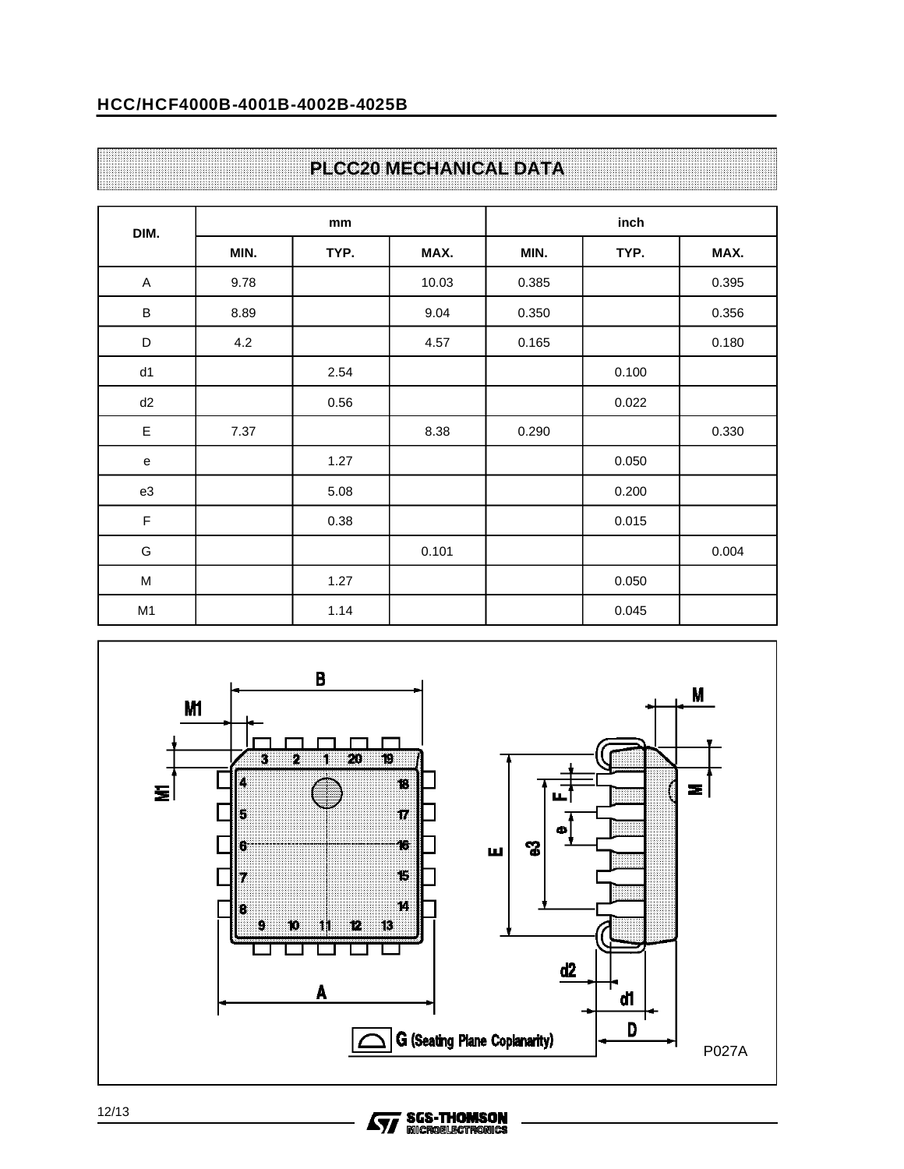### **HCC/HCF4000B-4001B-4002B-4025B**

## **PLCC20 MECHANICAL DATA**

| DIM.        |      | mm   |       |       | inch  |       |
|-------------|------|------|-------|-------|-------|-------|
|             | MIN. | TYP. | MAX.  | MIN.  | TYP.  | MAX.  |
| A           | 9.78 |      | 10.03 | 0.385 |       | 0.395 |
| $\sf B$     | 8.89 |      | 9.04  | 0.350 |       | 0.356 |
| $\mathsf D$ | 4.2  |      | 4.57  | 0.165 |       | 0.180 |
| d1          |      | 2.54 |       |       | 0.100 |       |
| d2          |      | 0.56 |       |       | 0.022 |       |
| E           | 7.37 |      | 8.38  | 0.290 |       | 0.330 |
| e           |      | 1.27 |       |       | 0.050 |       |
| e3          |      | 5.08 |       |       | 0.200 |       |
| $\mathsf F$ |      | 0.38 |       |       | 0.015 |       |
| G           |      |      | 0.101 |       |       | 0.004 |
| M           |      | 1.27 |       |       | 0.050 |       |
| M1          |      | 1.14 |       |       | 0.045 |       |